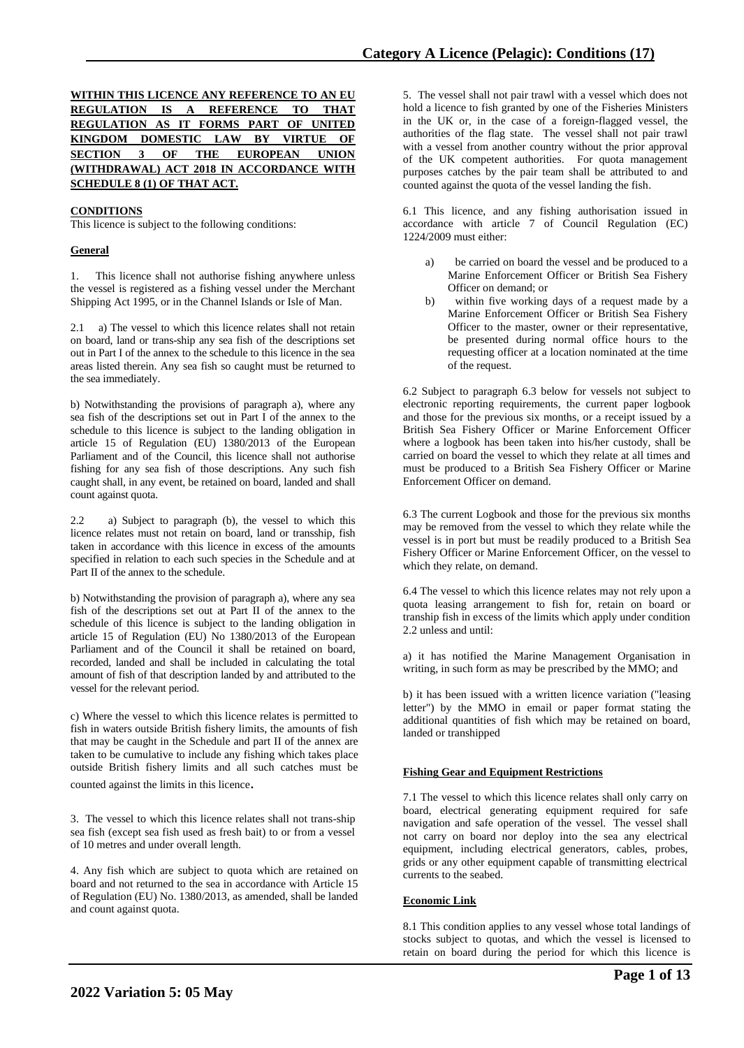|  |  |  |                                    | WITHIN THIS LICENCE ANY REFERENCE TO AN EU |  |  |
|--|--|--|------------------------------------|--------------------------------------------|--|--|
|  |  |  |                                    | REGULATION IS A REFERENCE TO THAT          |  |  |
|  |  |  |                                    | REGULATION AS IT FORMS PART OF UNITED      |  |  |
|  |  |  |                                    | KINGDOM DOMESTIC LAW BY VIRTUE OF          |  |  |
|  |  |  |                                    | SECTION 3 OF THE EUROPEAN UNION            |  |  |
|  |  |  |                                    | (WITHDRAWAL) ACT 2018 IN ACCORDANCE WITH   |  |  |
|  |  |  | <b>SCHEDULE 8 (1) OF THAT ACT.</b> |                                            |  |  |

### **CONDITIONS**

This licence is subject to the following conditions:

### **General**

1. This licence shall not authorise fishing anywhere unless the vessel is registered as a fishing vessel under the Merchant Shipping Act 1995, or in the Channel Islands or Isle of Man.

2.1 a) The vessel to which this licence relates shall not retain on board, land or trans-ship any sea fish of the descriptions set out in Part I of the annex to the schedule to this licence in the sea areas listed therein. Any sea fish so caught must be returned to the sea immediately.

b) Notwithstanding the provisions of paragraph a), where any sea fish of the descriptions set out in Part I of the annex to the schedule to this licence is subject to the landing obligation in article 15 of Regulation (EU) 1380/2013 of the European Parliament and of the Council, this licence shall not authorise fishing for any sea fish of those descriptions. Any such fish caught shall, in any event, be retained on board, landed and shall count against quota.

2.2 a) Subject to paragraph (b), the vessel to which this licence relates must not retain on board, land or transship, fish taken in accordance with this licence in excess of the amounts specified in relation to each such species in the Schedule and at Part II of the annex to the schedule.

b) Notwithstanding the provision of paragraph a), where any sea fish of the descriptions set out at Part II of the annex to the schedule of this licence is subject to the landing obligation in article 15 of Regulation (EU) No 1380/2013 of the European Parliament and of the Council it shall be retained on board, recorded, landed and shall be included in calculating the total amount of fish of that description landed by and attributed to the vessel for the relevant period.

c) Where the vessel to which this licence relates is permitted to fish in waters outside British fishery limits, the amounts of fish that may be caught in the Schedule and part II of the annex are taken to be cumulative to include any fishing which takes place outside British fishery limits and all such catches must be

counted against the limits in this licence.

3. The vessel to which this licence relates shall not trans-ship sea fish (except sea fish used as fresh bait) to or from a vessel of 10 metres and under overall length.

4. Any fish which are subject to quota which are retained on board and not returned to the sea in accordance with Article 15 of Regulation (EU) No. 1380/2013, as amended, shall be landed and count against quota.

5. The vessel shall not pair trawl with a vessel which does not hold a licence to fish granted by one of the Fisheries Ministers in the UK or, in the case of a foreign-flagged vessel, the authorities of the flag state. The vessel shall not pair trawl with a vessel from another country without the prior approval of the UK competent authorities. For quota management purposes catches by the pair team shall be attributed to and counted against the quota of the vessel landing the fish.

6.1 This licence, and any fishing authorisation issued in accordance with article 7 of Council Regulation (EC) 1224/2009 must either:

- be carried on board the vessel and be produced to a Marine Enforcement Officer or British Sea Fishery Officer on demand; or
- b) within five working days of a request made by a Marine Enforcement Officer or British Sea Fishery Officer to the master, owner or their representative, be presented during normal office hours to the requesting officer at a location nominated at the time of the request.

6.2 Subject to paragraph 6.3 below for vessels not subject to electronic reporting requirements, the current paper logbook and those for the previous six months, or a receipt issued by a British Sea Fishery Officer or Marine Enforcement Officer where a logbook has been taken into his/her custody, shall be carried on board the vessel to which they relate at all times and must be produced to a British Sea Fishery Officer or Marine Enforcement Officer on demand.

6.3 The current Logbook and those for the previous six months may be removed from the vessel to which they relate while the vessel is in port but must be readily produced to a British Sea Fishery Officer or Marine Enforcement Officer, on the vessel to which they relate, on demand.

6.4 The vessel to which this licence relates may not rely upon a quota leasing arrangement to fish for, retain on board or tranship fish in excess of the limits which apply under condition 2.2 unless and until:

a) it has notified the Marine Management Organisation in writing, in such form as may be prescribed by the MMO; and

b) it has been issued with a written licence variation ("leasing letter") by the MMO in email or paper format stating the additional quantities of fish which may be retained on board, landed or transhipped

### **Fishing Gear and Equipment Restrictions**

7.1 The vessel to which this licence relates shall only carry on board, electrical generating equipment required for safe navigation and safe operation of the vessel. The vessel shall not carry on board nor deploy into the sea any electrical equipment, including electrical generators, cables, probes, grids or any other equipment capable of transmitting electrical currents to the seabed.

### **Economic Link**

8.1 This condition applies to any vessel whose total landings of stocks subject to quotas, and which the vessel is licensed to retain on board during the period for which this licence is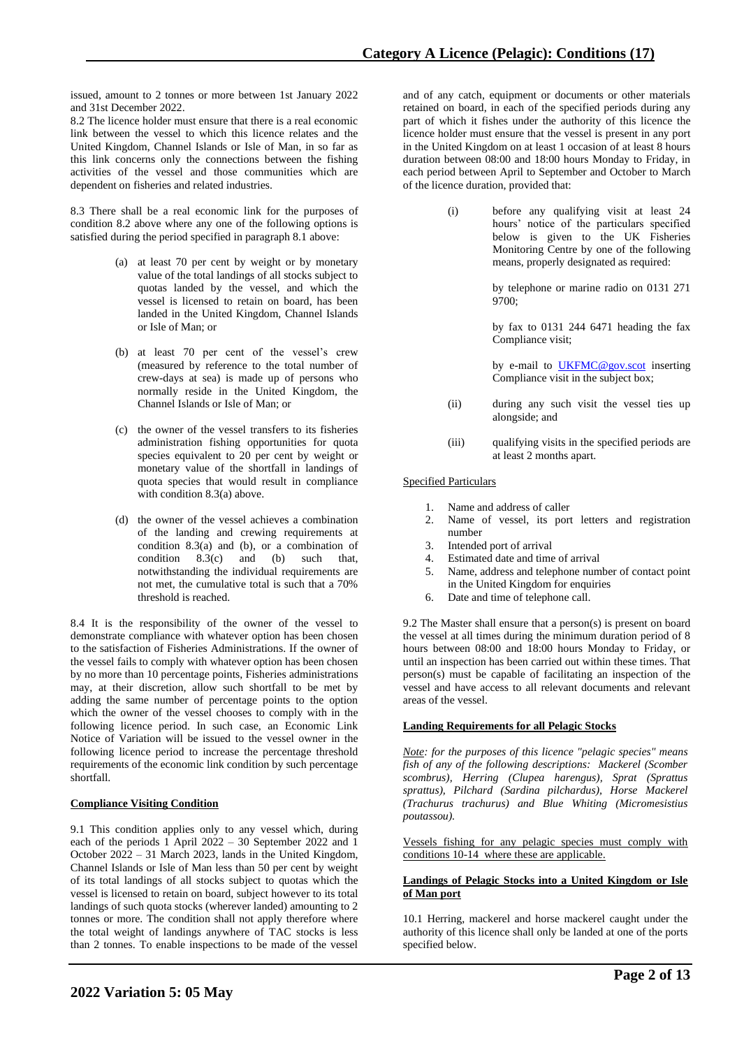issued, amount to 2 tonnes or more between 1st January 2022 and 31st December 2022.

8.2 The licence holder must ensure that there is a real economic link between the vessel to which this licence relates and the United Kingdom, Channel Islands or Isle of Man, in so far as this link concerns only the connections between the fishing activities of the vessel and those communities which are dependent on fisheries and related industries.

8.3 There shall be a real economic link for the purposes of condition 8.2 above where any one of the following options is satisfied during the period specified in paragraph 8.1 above:

- (a) at least 70 per cent by weight or by monetary value of the total landings of all stocks subject to quotas landed by the vessel, and which the vessel is licensed to retain on board, has been landed in the United Kingdom, Channel Islands or Isle of Man; or
- (b) at least 70 per cent of the vessel's crew (measured by reference to the total number of crew-days at sea) is made up of persons who normally reside in the United Kingdom, the Channel Islands or Isle of Man; or
- (c) the owner of the vessel transfers to its fisheries administration fishing opportunities for quota species equivalent to 20 per cent by weight or monetary value of the shortfall in landings of quota species that would result in compliance with condition 8.3(a) above.
- (d) the owner of the vessel achieves a combination of the landing and crewing requirements at condition 8.3(a) and (b), or a combination of condition 8.3(c) and (b) such that, notwithstanding the individual requirements are not met, the cumulative total is such that a 70% threshold is reached.

8.4 It is the responsibility of the owner of the vessel to demonstrate compliance with whatever option has been chosen to the satisfaction of Fisheries Administrations. If the owner of the vessel fails to comply with whatever option has been chosen by no more than 10 percentage points, Fisheries administrations may, at their discretion, allow such shortfall to be met by adding the same number of percentage points to the option which the owner of the vessel chooses to comply with in the following licence period. In such case, an Economic Link Notice of Variation will be issued to the vessel owner in the following licence period to increase the percentage threshold requirements of the economic link condition by such percentage shortfall.

## **Compliance Visiting Condition**

9.1 This condition applies only to any vessel which, during each of the periods 1 April 2022 – 30 September 2022 and 1 October 2022 – 31 March 2023, lands in the United Kingdom, Channel Islands or Isle of Man less than 50 per cent by weight of its total landings of all stocks subject to quotas which the vessel is licensed to retain on board, subject however to its total landings of such quota stocks (wherever landed) amounting to 2 tonnes or more. The condition shall not apply therefore where the total weight of landings anywhere of TAC stocks is less than 2 tonnes. To enable inspections to be made of the vessel

and of any catch, equipment or documents or other materials retained on board, in each of the specified periods during any part of which it fishes under the authority of this licence the licence holder must ensure that the vessel is present in any port in the United Kingdom on at least 1 occasion of at least 8 hours duration between 08:00 and 18:00 hours Monday to Friday, in each period between April to September and October to March of the licence duration, provided that:

> (i) before any qualifying visit at least 24 hours' notice of the particulars specified below is given to the UK Fisheries Monitoring Centre by one of the following means, properly designated as required:

> > by telephone or marine radio on 0131 271 9700;

> > by fax to 0131 244 6471 heading the fax Compliance visit;

> > by e-mail to **UKFMC@gov.scot** inserting Compliance visit in the subject box;

- (ii) during any such visit the vessel ties up alongside; and
- (iii) qualifying visits in the specified periods are at least 2 months apart.

### Specified Particulars

- 1. Name and address of caller
- 2. Name of vessel, its port letters and registration number
- 3. Intended port of arrival
- 4. Estimated date and time of arrival<br>5. Name, address and telephone num
- 5. Name, address and telephone number of contact point in the United Kingdom for enquiries
- 6. Date and time of telephone call.

9.2 The Master shall ensure that a person(s) is present on board the vessel at all times during the minimum duration period of 8 hours between 08:00 and 18:00 hours Monday to Friday, or until an inspection has been carried out within these times. That person(s) must be capable of facilitating an inspection of the vessel and have access to all relevant documents and relevant areas of the vessel.

### **Landing Requirements for all Pelagic Stocks**

*Note: for the purposes of this licence "pelagic species" means fish of any of the following descriptions: Mackerel (Scomber scombrus), Herring (Clupea harengus), Sprat (Sprattus sprattus), Pilchard (Sardina pilchardus), Horse Mackerel (Trachurus trachurus) and Blue Whiting (Micromesistius poutassou).*

Vessels fishing for any pelagic species must comply with conditions 10-14 where these are applicable.

### **Landings of Pelagic Stocks into a United Kingdom or Isle of Man port**

10.1 Herring, mackerel and horse mackerel caught under the authority of this licence shall only be landed at one of the ports specified below.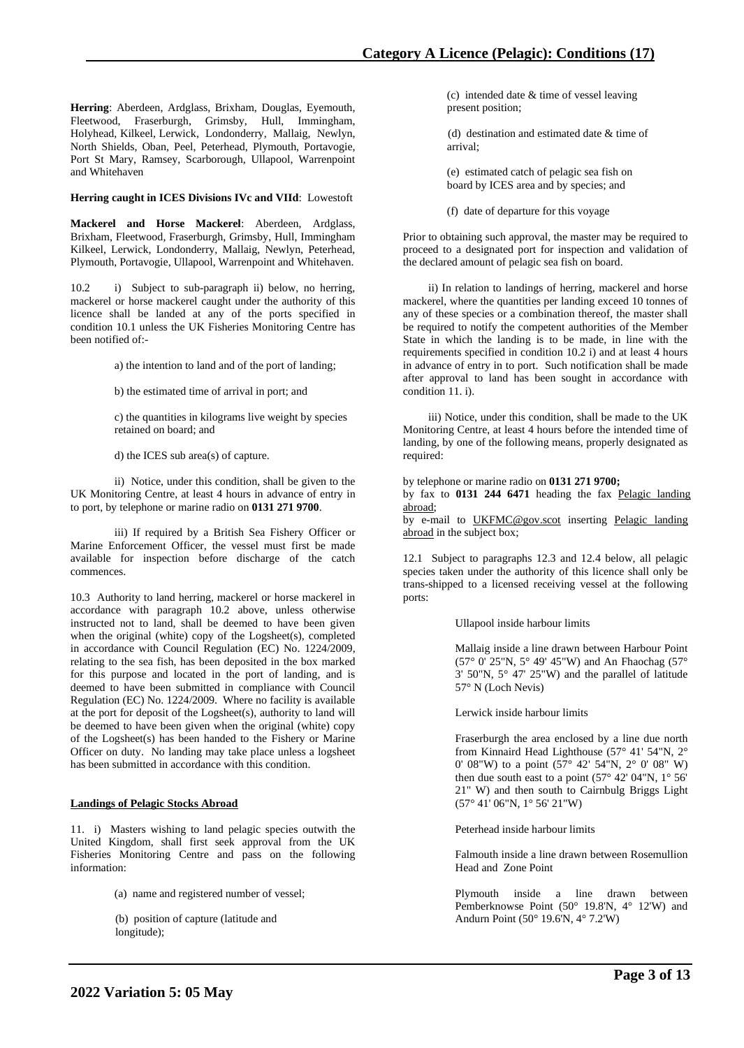**Herring**: Aberdeen, Ardglass, Brixham, Douglas, Eyemouth, Fleetwood, Fraserburgh, Grimsby, Hull, Immingham, Holyhead, Kilkeel, Lerwick, Londonderry, Mallaig, Newlyn, North Shields, Oban, Peel, Peterhead, Plymouth, Portavogie, Port St Mary, Ramsey, Scarborough, Ullapool, Warrenpoint and Whitehaven

### **Herring caught in ICES Divisions IVc and VIId**: Lowestoft

**Mackerel and Horse Mackerel**: Aberdeen, Ardglass, Brixham, Fleetwood, Fraserburgh, Grimsby, Hull, Immingham Kilkeel, Lerwick, Londonderry, Mallaig, Newlyn, Peterhead, Plymouth, Portavogie, Ullapool, Warrenpoint and Whitehaven.

10.2 i) Subject to sub-paragraph ii) below, no herring, mackerel or horse mackerel caught under the authority of this licence shall be landed at any of the ports specified in condition 10.1 unless the UK Fisheries Monitoring Centre has been notified of:-

a) the intention to land and of the port of landing;

b) the estimated time of arrival in port; and

c) the quantities in kilograms live weight by species retained on board; and

d) the ICES sub area(s) of capture.

ii) Notice, under this condition, shall be given to the UK Monitoring Centre, at least 4 hours in advance of entry in to port, by telephone or marine radio on **0131 271 9700**.

iii) If required by a British Sea Fishery Officer or Marine Enforcement Officer, the vessel must first be made available for inspection before discharge of the catch commences.

10.3 Authority to land herring, mackerel or horse mackerel in accordance with paragraph 10.2 above, unless otherwise instructed not to land, shall be deemed to have been given when the original (white) copy of the Logsheet(s), completed in accordance with Council Regulation (EC) No. 1224/2009, relating to the sea fish, has been deposited in the box marked for this purpose and located in the port of landing, and is deemed to have been submitted in compliance with Council Regulation (EC) No. 1224/2009. Where no facility is available at the port for deposit of the Logsheet(s), authority to land will be deemed to have been given when the original (white) copy of the Logsheet(s) has been handed to the Fishery or Marine Officer on duty. No landing may take place unless a logsheet has been submitted in accordance with this condition.

## **Landings of Pelagic Stocks Abroad**

11. i) Masters wishing to land pelagic species outwith the United Kingdom, shall first seek approval from the UK Fisheries Monitoring Centre and pass on the following information:

(a) name and registered number of vessel;

(b) position of capture (latitude and longitude);

(c) intended date & time of vessel leaving present position;

 (d) destination and estimated date & time of arrival;

(e) estimated catch of pelagic sea fish on board by ICES area and by species; and

(f) date of departure for this voyage

Prior to obtaining such approval, the master may be required to proceed to a designated port for inspection and validation of the declared amount of pelagic sea fish on board.

 ii) In relation to landings of herring, mackerel and horse mackerel, where the quantities per landing exceed 10 tonnes of any of these species or a combination thereof, the master shall be required to notify the competent authorities of the Member State in which the landing is to be made, in line with the requirements specified in condition 10.2 i) and at least 4 hours in advance of entry in to port. Such notification shall be made after approval to land has been sought in accordance with condition 11. i).

 iii) Notice, under this condition, shall be made to the UK Monitoring Centre, at least 4 hours before the intended time of landing, by one of the following means, properly designated as required:

by telephone or marine radio on **0131 271 9700;**

by fax to **0131 244 6471** heading the fax Pelagic landing abroad;

by e-mail to [UKFMC@gov.scot](mailto:UKFCC@scotland.gsi.gov.uk) inserting Pelagic landing abroad in the subject box;

12.1 Subject to paragraphs 12.3 and 12.4 below, all pelagic species taken under the authority of this licence shall only be trans-shipped to a licensed receiving vessel at the following ports:

Ullapool inside harbour limits

Mallaig inside a line drawn between Harbour Point (57° 0' 25"N, 5° 49' 45"W) and An Fhaochag (57° 3' 50"N, 5° 47' 25"W) and the parallel of latitude 57° N (Loch Nevis)

Lerwick inside harbour limits

Fraserburgh the area enclosed by a line due north from Kinnaird Head Lighthouse (57° 41' 54"N, 2° 0' 08"W) to a point (57° 42' 54"N, 2° 0' 08" W) then due south east to a point (57° 42' 04"N, 1° 56' 21" W) and then south to Cairnbulg Briggs Light (57° 41' 06"N, 1° 56' 21"W)

Peterhead inside harbour limits

Falmouth inside a line drawn between Rosemullion Head and Zone Point

Plymouth inside a line drawn between Pemberknowse Point (50° 19.8'N, 4° 12'W) and Andurn Point (50° 19.6'N, 4° 7.2'W)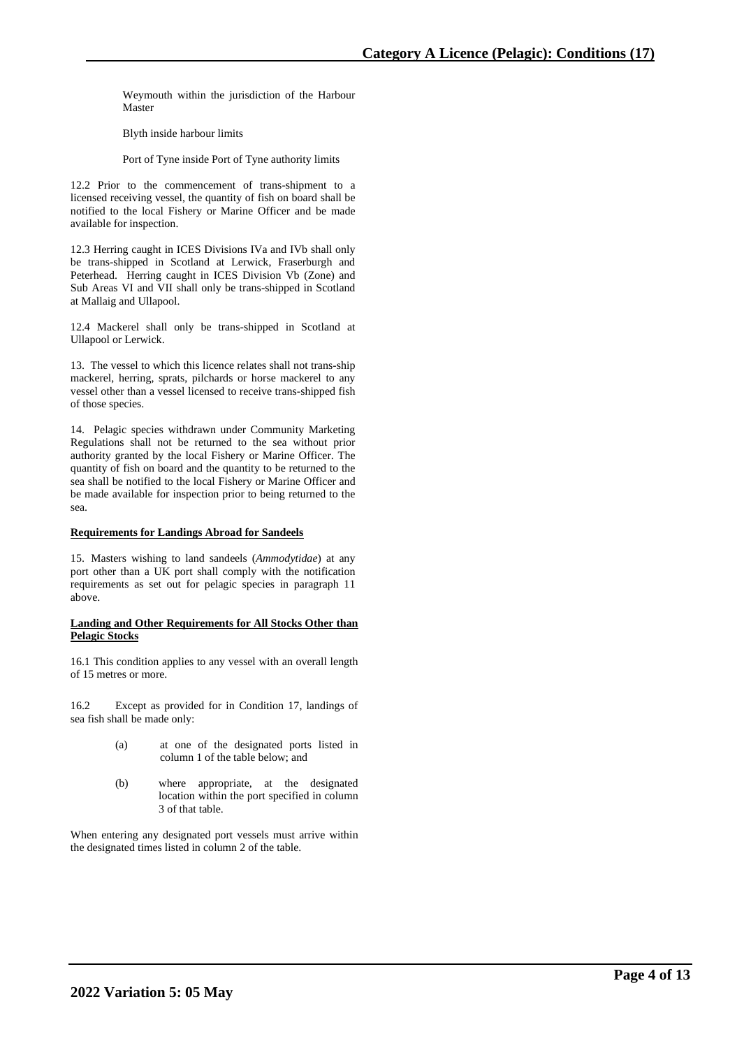Weymouth within the jurisdiction of the Harbour Master

Blyth inside harbour limits

Port of Tyne inside Port of Tyne authority limits

12.2 Prior to the commencement of trans-shipment to a licensed receiving vessel, the quantity of fish on board shall be notified to the local Fishery or Marine Officer and be made available for inspection.

12.3 Herring caught in ICES Divisions IVa and IVb shall only be trans-shipped in Scotland at Lerwick, Fraserburgh and Peterhead. Herring caught in ICES Division Vb (Zone) and Sub Areas VI and VII shall only be trans-shipped in Scotland at Mallaig and Ullapool.

12.4 Mackerel shall only be trans-shipped in Scotland at Ullapool or Lerwick.

13. The vessel to which this licence relates shall not trans-ship mackerel, herring, sprats, pilchards or horse mackerel to any vessel other than a vessel licensed to receive trans-shipped fish of those species.

14. Pelagic species withdrawn under Community Marketing Regulations shall not be returned to the sea without prior authority granted by the local Fishery or Marine Officer. The quantity of fish on board and the quantity to be returned to the sea shall be notified to the local Fishery or Marine Officer and be made available for inspection prior to being returned to the sea.

## **Requirements for Landings Abroad for Sandeels**

15. Masters wishing to land sandeels (*Ammodytidae*) at any port other than a UK port shall comply with the notification requirements as set out for pelagic species in paragraph 11 above.

### **Landing and Other Requirements for All Stocks Other than Pelagic Stocks**

16.1 This condition applies to any vessel with an overall length of 15 metres or more.

16.2 Except as provided for in Condition 17, landings of sea fish shall be made only:

- (a) at one of the designated ports listed in column 1 of the table below; and
- (b) where appropriate, at the designated location within the port specified in column 3 of that table.

When entering any designated port vessels must arrive within the designated times listed in column 2 of the table.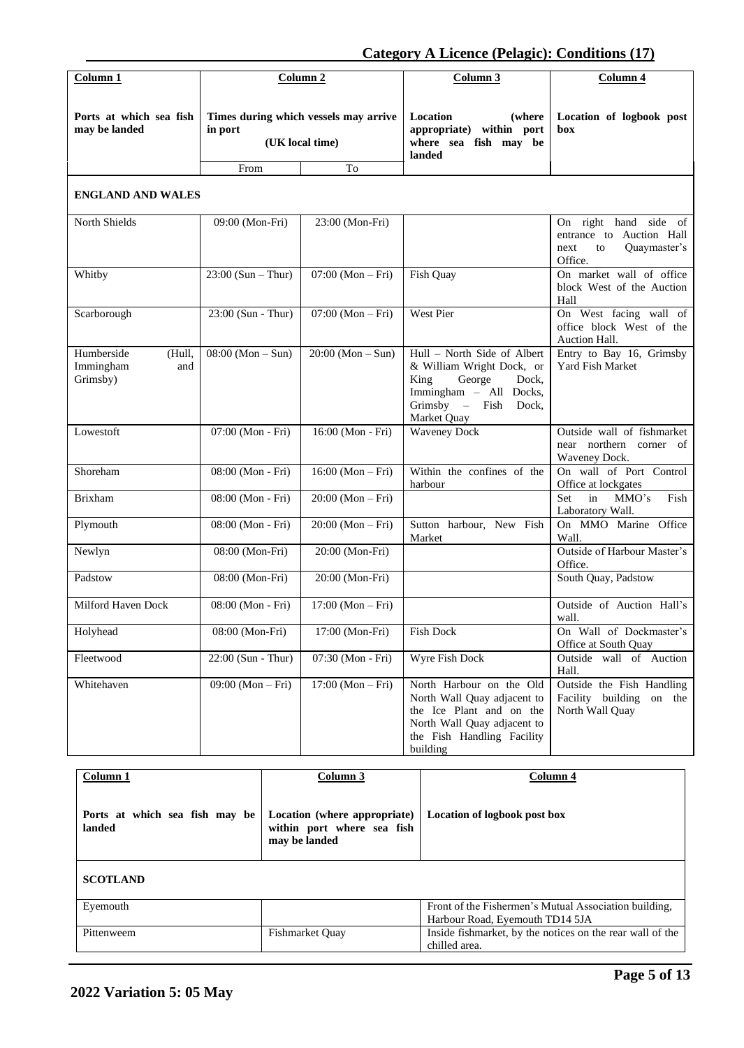**Category A Licence (Pelagic): Conditions (17)**

| Column 1                                             |                      | Column <sub>2</sub>                                      | Column <sub>3</sub>                                                                                                                                          | Column 4                                                                                   |
|------------------------------------------------------|----------------------|----------------------------------------------------------|--------------------------------------------------------------------------------------------------------------------------------------------------------------|--------------------------------------------------------------------------------------------|
| Ports at which sea fish<br>may be landed             | in port              | Times during which vessels may arrive<br>(UK local time) | Location<br>(where<br>appropriate) within port<br>where sea fish may be<br>landed                                                                            | Location of logbook post<br>box                                                            |
|                                                      | From                 | To                                                       |                                                                                                                                                              |                                                                                            |
| <b>ENGLAND AND WALES</b>                             |                      |                                                          |                                                                                                                                                              |                                                                                            |
| North Shields                                        | 09:00 (Mon-Fri)      | 23:00 (Mon-Fri)                                          |                                                                                                                                                              | On right hand side of<br>entrance to Auction Hall<br>Quaymaster's<br>next<br>to<br>Office. |
| Whitby                                               | $23:00$ (Sun – Thur) | $07:00 (Mon-Fri)$                                        | Fish Quay                                                                                                                                                    | On market wall of office<br>block West of the Auction<br>Hall                              |
| Scarborough                                          | 23:00 (Sun - Thur)   | $07:00 (Mon-Fri)$                                        | West Pier                                                                                                                                                    | On West facing wall of<br>office block West of the<br>Auction Hall.                        |
| Humberside<br>(Hull,<br>Immingham<br>and<br>Grimsby) | $08:00 (Mon-Sun)$    | $20:00 (Mon-Sun)$                                        | Hull - North Side of Albert<br>& William Wright Dock, or<br>King<br>George<br>Dock,<br>Immingham - All Docks,<br>$Grimsby -$<br>Fish<br>Dock,<br>Market Quay | Entry to Bay 16, Grimsby<br>Yard Fish Market                                               |
| Lowestoft                                            | 07:00 (Mon - Fri)    | 16:00 (Mon - Fri)                                        | <b>Waveney Dock</b>                                                                                                                                          | Outside wall of fishmarket<br>near northern corner of<br>Waveney Dock.                     |
| Shoreham                                             | 08:00 (Mon - Fri)    | $16:00 (Mon-Fri)$                                        | Within the confines of the<br>harbour                                                                                                                        | On wall of Port Control<br>Office at lockgates                                             |
| <b>Brixham</b>                                       | 08:00 (Mon - Fri)    | $20:00 (Mon-Fri)$                                        |                                                                                                                                                              | Set<br>in<br>MMO's<br>Fish<br>Laboratory Wall.                                             |
| Plymouth                                             | 08:00 (Mon - Fri)    | $20:00 (Mon-Fri)$                                        | Sutton harbour, New Fish<br>Market                                                                                                                           | On MMO Marine Office<br>Wall.                                                              |
| Newlyn                                               | 08:00 (Mon-Fri)      | 20:00 (Mon-Fri)                                          |                                                                                                                                                              | Outside of Harbour Master's<br>Office.                                                     |
| Padstow                                              | 08:00 (Mon-Fri)      | 20:00 (Mon-Fri)                                          |                                                                                                                                                              | South Quay, Padstow                                                                        |
| Milford Haven Dock                                   | 08:00 (Mon - Fri)    | $17:00 (Mon-Fri)$                                        |                                                                                                                                                              | Outside of Auction Hall's<br>wall.                                                         |
| Holyhead                                             | 08:00 (Mon-Fri)      | 17:00 (Mon-Fri)                                          | Fish Dock                                                                                                                                                    | On Wall of Dockmaster's<br>Office at South Quay                                            |
| Fleetwood                                            | $22:00$ (Sun - Thur) | 07:30 (Mon - Fri)                                        | Wyre Fish Dock                                                                                                                                               | Outside wall of Auction<br>Hall.                                                           |
| Whitehaven                                           | $09:00 (Mon-Fri)$    | $17:00 (Mon-Fri)$                                        | North Harbour on the Old<br>North Wall Quay adjacent to<br>the Ice Plant and on the<br>North Wall Quay adjacent to<br>the Fish Handling Facility<br>building | Outside the Fish Handling<br>Facility building<br>on the<br>North Wall Quay                |

| Column 1                                 | Column 3                                                                    | Column 4                                                                                 |
|------------------------------------------|-----------------------------------------------------------------------------|------------------------------------------------------------------------------------------|
| Ports at which sea fish may be<br>landed | Location (where appropriate)<br>within port where sea fish<br>may be landed | Location of logbook post box                                                             |
| <b>SCOTLAND</b>                          |                                                                             |                                                                                          |
| Eyemouth                                 |                                                                             | Front of the Fishermen's Mutual Association building,<br>Harbour Road, Eyemouth TD14 5JA |
| Pittenweem                               | <b>Fishmarket Ouay</b>                                                      | Inside fishmarket, by the notices on the rear wall of the<br>chilled area.               |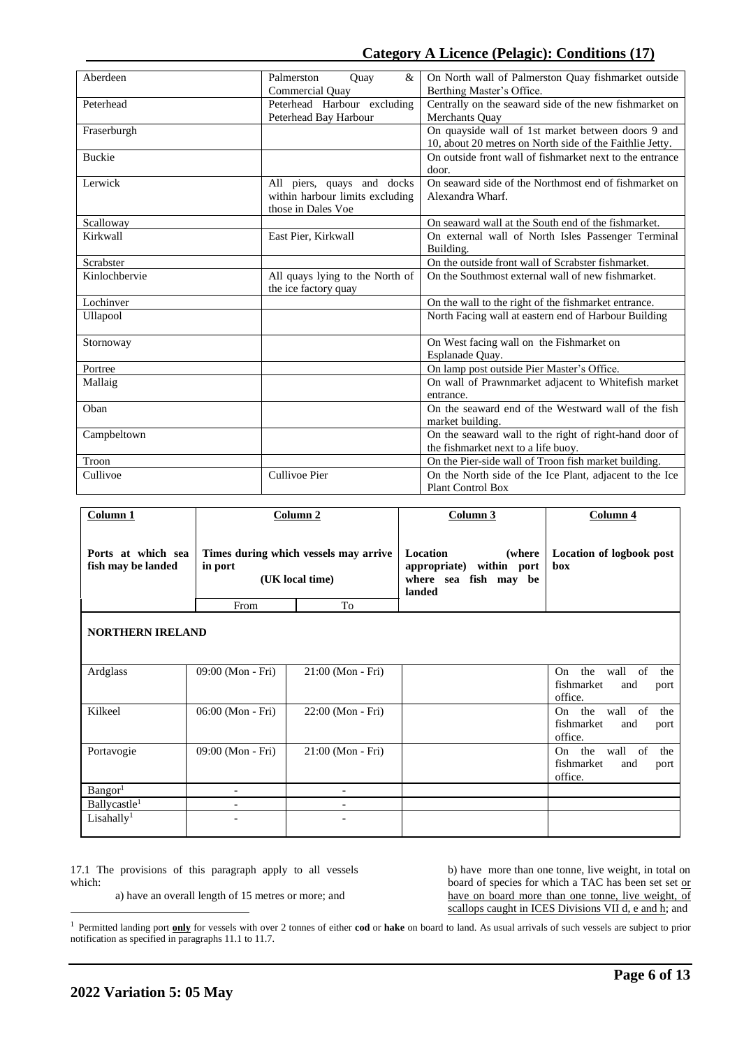| Aberdeen      | Palmerston<br>$\&$<br>Quay      | On North wall of Palmerston Quay fishmarket outside      |
|---------------|---------------------------------|----------------------------------------------------------|
|               | Commercial Ouay                 | Berthing Master's Office.                                |
| Peterhead     | Peterhead Harbour excluding     | Centrally on the seaward side of the new fishmarket on   |
|               | Peterhead Bay Harbour           | Merchants Quay                                           |
| Fraserburgh   |                                 | On quayside wall of 1st market between doors 9 and       |
|               |                                 | 10, about 20 metres on North side of the Faithlie Jetty. |
| <b>Buckie</b> |                                 | On outside front wall of fishmarket next to the entrance |
|               |                                 | door.                                                    |
| Lerwick       | All piers, quays and docks      | On seaward side of the Northmost end of fishmarket on    |
|               | within harbour limits excluding | Alexandra Wharf.                                         |
|               | those in Dales Voe              |                                                          |
| Scalloway     |                                 | On seaward wall at the South end of the fishmarket.      |
| Kirkwall      | East Pier, Kirkwall             | On external wall of North Isles Passenger Terminal       |
|               |                                 | Building.                                                |
| Scrabster     |                                 | On the outside front wall of Scrabster fishmarket.       |
| Kinlochbervie | All quays lying to the North of | On the Southmost external wall of new fishmarket.        |
|               | the ice factory quay            |                                                          |
| Lochinver     |                                 | On the wall to the right of the fishmarket entrance.     |
| Ullapool      |                                 | North Facing wall at eastern end of Harbour Building     |
|               |                                 |                                                          |
| Stornoway     |                                 | On West facing wall on the Fishmarket on                 |
|               |                                 | Esplanade Quay.                                          |
| Portree       |                                 | On lamp post outside Pier Master's Office.               |
| Mallaig       |                                 | On wall of Prawnmarket adjacent to Whitefish market      |
|               |                                 | entrance.                                                |
| Oban          |                                 | On the seaward end of the Westward wall of the fish      |
|               |                                 | market building.                                         |
| Campbeltown   |                                 | On the seaward wall to the right of right-hand door of   |
|               |                                 | the fishmarket next to a life buoy.                      |
| Troon         |                                 | On the Pier-side wall of Troon fish market building.     |
| Cullivoe      | <b>Cullivoe Pier</b>            | On the North side of the Ice Plant, adjacent to the Ice  |
|               |                                 | <b>Plant Control Box</b>                                 |

| Column <sub>1</sub>                      |                          | Column 2                                                 | Column 3                                                                                 | Column 4                                                                          |  |
|------------------------------------------|--------------------------|----------------------------------------------------------|------------------------------------------------------------------------------------------|-----------------------------------------------------------------------------------|--|
| Ports at which sea<br>fish may be landed | in port                  | Times during which vessels may arrive<br>(UK local time) | Location<br>(where)<br>within port<br>appropriate)<br>where sea<br>fish may be<br>landed | Location of logbook post<br>hox                                                   |  |
|                                          | From                     | To                                                       |                                                                                          |                                                                                   |  |
| <b>NORTHERN IRELAND</b>                  |                          |                                                          |                                                                                          |                                                                                   |  |
| Ardglass                                 | 09:00 (Mon - Fri)        | 21:00 (Mon - Fri)                                        |                                                                                          | the wall of<br>On<br>the<br>fishmarket<br>and<br>port<br>office.                  |  |
| Kilkeel                                  | 06:00 (Mon - Fri)        | 22:00 (Mon - Fri)                                        |                                                                                          | the wall of<br>the<br>On<br>fishmarket<br>and<br>port<br>office.                  |  |
| Portavogie                               | 09:00 (Mon - Fri)        | 21:00 (Mon - Fri)                                        |                                                                                          | the<br>wall<br><sub>of</sub><br>the<br>On<br>fishmarket<br>and<br>port<br>office. |  |
| Bangor <sup>1</sup>                      |                          | $\overline{\phantom{a}}$                                 |                                                                                          |                                                                                   |  |
| Ballycastle <sup>1</sup>                 | $\overline{\phantom{a}}$ | $\overline{\phantom{a}}$                                 |                                                                                          |                                                                                   |  |
| Lisahally <sup>1</sup>                   |                          |                                                          |                                                                                          |                                                                                   |  |

17.1 The provisions of this paragraph apply to all vessels which:

b) have more than one tonne, live weight, in total on board of species for which a TAC has been set set or have on board more than one tonne, live weight, of scallops caught in ICES Divisions VII d, e and h; and

a) have an overall length of 15 metres or more; and

<sup>&</sup>lt;sup>1</sup> Permitted landing port **only** for vessels with over 2 tonnes of either **cod** or hake on board to land. As usual arrivals of such vessels are subject to prior notification as specified in paragraphs 11.1 to 11.7.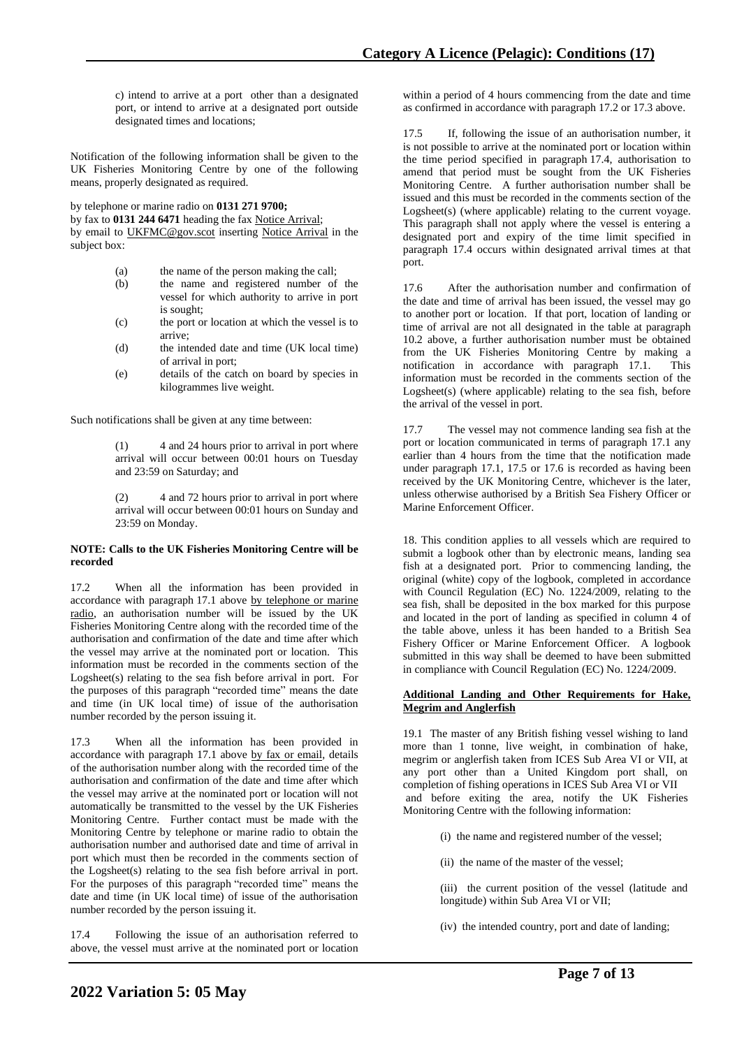c) intend to arrive at a port other than a designated port, or intend to arrive at a designated port outside designated times and locations;

Notification of the following information shall be given to the UK Fisheries Monitoring Centre by one of the following means, properly designated as required.

by telephone or marine radio on **0131 271 9700;**

by fax to **0131 244 6471** heading the fax Notice Arrival; by email to UKFMC@gov.scot inserting Notice Arrival in the subject box:

- (a) the name of the person making the call;<br>(b) the name and registered number of
- (b) the name and registered number of the vessel for which authority to arrive in port is sought;
- (c) the port or location at which the vessel is to arrive;
- (d) the intended date and time (UK local time) of arrival in port;
- (e) details of the catch on board by species in kilogrammes live weight.

Such notifications shall be given at any time between:

(1) 4 and 24 hours prior to arrival in port where arrival will occur between 00:01 hours on Tuesday and 23:59 on Saturday; and

(2) 4 and 72 hours prior to arrival in port where arrival will occur between 00:01 hours on Sunday and 23:59 on Monday.

### **NOTE: Calls to the UK Fisheries Monitoring Centre will be recorded**

17.2 When all the information has been provided in accordance with paragraph 17.1 above by telephone or marine radio, an authorisation number will be issued by the UK Fisheries Monitoring Centre along with the recorded time of the authorisation and confirmation of the date and time after which the vessel may arrive at the nominated port or location. This information must be recorded in the comments section of the Logsheet(s) relating to the sea fish before arrival in port. For the purposes of this paragraph "recorded time" means the date and time (in UK local time) of issue of the authorisation number recorded by the person issuing it.

17.3 When all the information has been provided in accordance with paragraph 17.1 above by fax or email, details of the authorisation number along with the recorded time of the authorisation and confirmation of the date and time after which the vessel may arrive at the nominated port or location will not automatically be transmitted to the vessel by the UK Fisheries Monitoring Centre. Further contact must be made with the Monitoring Centre by telephone or marine radio to obtain the authorisation number and authorised date and time of arrival in port which must then be recorded in the comments section of the Logsheet(s) relating to the sea fish before arrival in port. For the purposes of this paragraph "recorded time" means the date and time (in UK local time) of issue of the authorisation number recorded by the person issuing it.

17.4 Following the issue of an authorisation referred to above, the vessel must arrive at the nominated port or location within a period of 4 hours commencing from the date and time as confirmed in accordance with paragraph 17.2 or 17.3 above.

17.5 If, following the issue of an authorisation number, it is not possible to arrive at the nominated port or location within the time period specified in paragraph 17.4, authorisation to amend that period must be sought from the UK Fisheries Monitoring Centre. A further authorisation number shall be issued and this must be recorded in the comments section of the Logsheet(s) (where applicable) relating to the current voyage. This paragraph shall not apply where the vessel is entering a designated port and expiry of the time limit specified in paragraph 17.4 occurs within designated arrival times at that port.

17.6 After the authorisation number and confirmation of the date and time of arrival has been issued, the vessel may go to another port or location. If that port, location of landing or time of arrival are not all designated in the table at paragraph 10.2 above, a further authorisation number must be obtained from the UK Fisheries Monitoring Centre by making a notification in accordance with paragraph 17.1. This information must be recorded in the comments section of the Logsheet(s) (where applicable) relating to the sea fish, before the arrival of the vessel in port.

17.7 The vessel may not commence landing sea fish at the port or location communicated in terms of paragraph 17.1 any earlier than 4 hours from the time that the notification made under paragraph 17.1, 17.5 or 17.6 is recorded as having been received by the UK Monitoring Centre, whichever is the later, unless otherwise authorised by a British Sea Fishery Officer or Marine Enforcement Officer.

18. This condition applies to all vessels which are required to submit a logbook other than by electronic means, landing sea fish at a designated port. Prior to commencing landing, the original (white) copy of the logbook, completed in accordance with Council Regulation (EC) No. 1224/2009, relating to the sea fish, shall be deposited in the box marked for this purpose and located in the port of landing as specified in column 4 of the table above, unless it has been handed to a British Sea Fishery Officer or Marine Enforcement Officer. A logbook submitted in this way shall be deemed to have been submitted in compliance with Council Regulation (EC) No. 1224/2009.

### **Additional Landing and Other Requirements for Hake, Megrim and Anglerfish**

19.1 The master of any British fishing vessel wishing to land more than 1 tonne, live weight, in combination of hake, megrim or anglerfish taken from ICES Sub Area VI or VII, at any port other than a United Kingdom port shall, on completion of fishing operations in ICES Sub Area VI or VII and before exiting the area, notify the UK Fisheries Monitoring Centre with the following information:

- (i) the name and registered number of the vessel;
- (ii) the name of the master of the vessel;
- (iii) the current position of the vessel (latitude and longitude) within Sub Area VI or VII;
- (iv) the intended country, port and date of landing;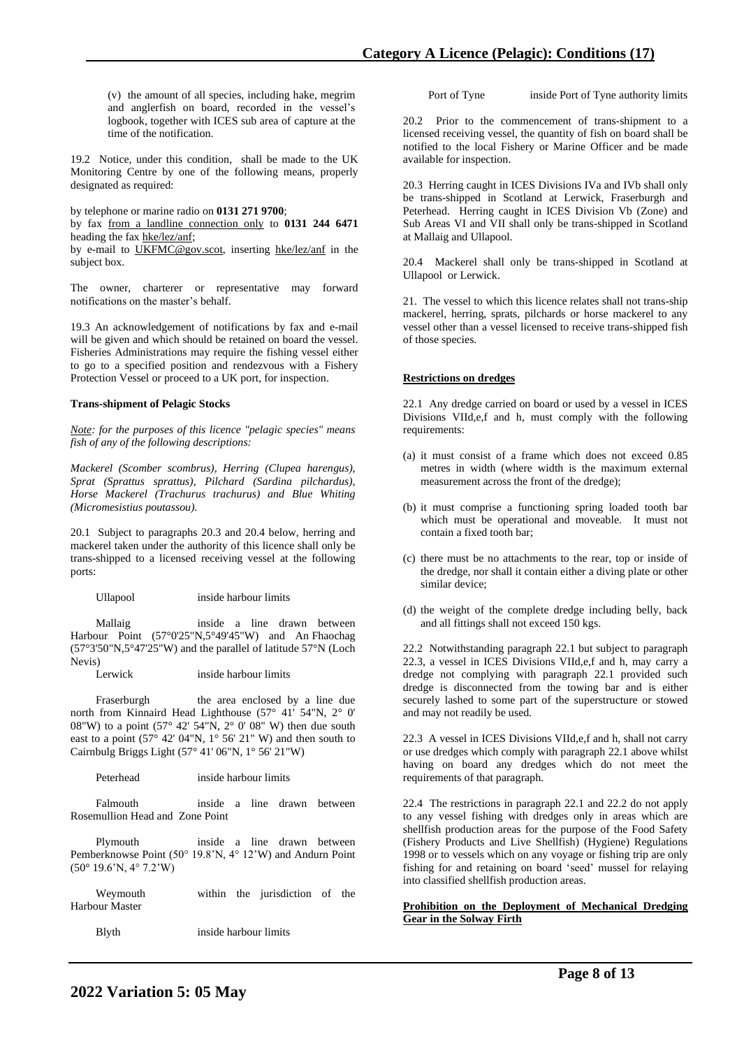(v) the amount of all species, including hake, megrim and anglerfish on board, recorded in the vessel's logbook, together with ICES sub area of capture at the time of the notification.

19.2 Notice, under this condition, shall be made to the UK Monitoring Centre by one of the following means, properly designated as required:

by telephone or marine radio on **0131 271 9700**;

by fax from a landline connection only to **0131 244 6471** heading the fax hke/lez/anf;

by e-mail to UKFMC@gov.scot, inserting hke/lez/anf in the subject box.

The owner, charterer or representative may forward notifications on the master's behalf.

19.3 An acknowledgement of notifications by fax and e-mail will be given and which should be retained on board the vessel. Fisheries Administrations may require the fishing vessel either to go to a specified position and rendezvous with a Fishery Protection Vessel or proceed to a UK port, for inspection.

### **Trans-shipment of Pelagic Stocks**

*Note: for the purposes of this licence "pelagic species" means fish of any of the following descriptions:* 

*Mackerel (Scomber scombrus), Herring (Clupea harengus), Sprat (Sprattus sprattus), Pilchard (Sardina pilchardus), Horse Mackerel (Trachurus trachurus) and Blue Whiting (Micromesistius poutassou).*

20.1 Subject to paragraphs 20.3 and 20.4 below, herring and mackerel taken under the authority of this licence shall only be trans-shipped to a licensed receiving vessel at the following ports:

Ullapool inside harbour limits

 Mallaig inside a line drawn between Harbour Point (57°0'25"N,5°49'45"W) and An Fhaochag (57°3'50"N,5°47'25"W) and the parallel of latitude 57°N (Loch Nevis)

Lerwick inside harbour limits

Fraserburgh the area enclosed by a line due north from Kinnaird Head Lighthouse (57° 41' 54"N, 2° 0' 08"W) to a point  $(57^{\circ} 42' 54''N, 2^{\circ} 0' 08'' W)$  then due south east to a point  $(57^{\circ}$  42' 04"N, 1° 56' 21" W) and then south to Cairnbulg Briggs Light (57° 41' 06"N, 1° 56' 21"W)

Peterhead inside harbour limits

 Falmouth inside a line drawn between Rosemullion Head and Zone Point

 Plymouth inside a line drawn between Pemberknowse Point (50° 19.8'N, 4° 12'W) and Andurn Point (50° 19.6'N, 4° 7.2'W)

 Weymouth within the jurisdiction of the Harbour Master

Blyth inside harbour limits

Port of Tyne inside Port of Tyne authority limits

20.2 Prior to the commencement of trans-shipment to a licensed receiving vessel, the quantity of fish on board shall be notified to the local Fishery or Marine Officer and be made available for inspection.

20.3 Herring caught in ICES Divisions IVa and IVb shall only be trans-shipped in Scotland at Lerwick, Fraserburgh and Peterhead. Herring caught in ICES Division Vb (Zone) and Sub Areas VI and VII shall only be trans-shipped in Scotland at Mallaig and Ullapool.

20.4 Mackerel shall only be trans-shipped in Scotland at Ullapool or Lerwick.

21. The vessel to which this licence relates shall not trans-ship mackerel, herring, sprats, pilchards or horse mackerel to any vessel other than a vessel licensed to receive trans-shipped fish of those species.

## **Restrictions on dredges**

22.1 Any dredge carried on board or used by a vessel in ICES Divisions VIId,e,f and h, must comply with the following requirements:

- (a) it must consist of a frame which does not exceed 0.85 metres in width (where width is the maximum external measurement across the front of the dredge);
- (b) it must comprise a functioning spring loaded tooth bar which must be operational and moveable. It must not contain a fixed tooth bar;
- (c) there must be no attachments to the rear, top or inside of the dredge, nor shall it contain either a diving plate or other similar device;
- (d) the weight of the complete dredge including belly, back and all fittings shall not exceed 150 kgs.

22.2 Notwithstanding paragraph 22.1 but subject to paragraph 22.3, a vessel in ICES Divisions VIId,e,f and h, may carry a dredge not complying with paragraph 22.1 provided such dredge is disconnected from the towing bar and is either securely lashed to some part of the superstructure or stowed and may not readily be used.

22.3 A vessel in ICES Divisions VIId,e,f and h, shall not carry or use dredges which comply with paragraph 22.1 above whilst having on board any dredges which do not meet the requirements of that paragraph.

22.4 The restrictions in paragraph 22.1 and 22.2 do not apply to any vessel fishing with dredges only in areas which are shellfish production areas for the purpose of the Food Safety (Fishery Products and Live Shellfish) (Hygiene) Regulations 1998 or to vessels which on any voyage or fishing trip are only fishing for and retaining on board 'seed' mussel for relaying into classified shellfish production areas.

### **Prohibition on the Deployment of Mechanical Dredging Gear in the Solway Firth**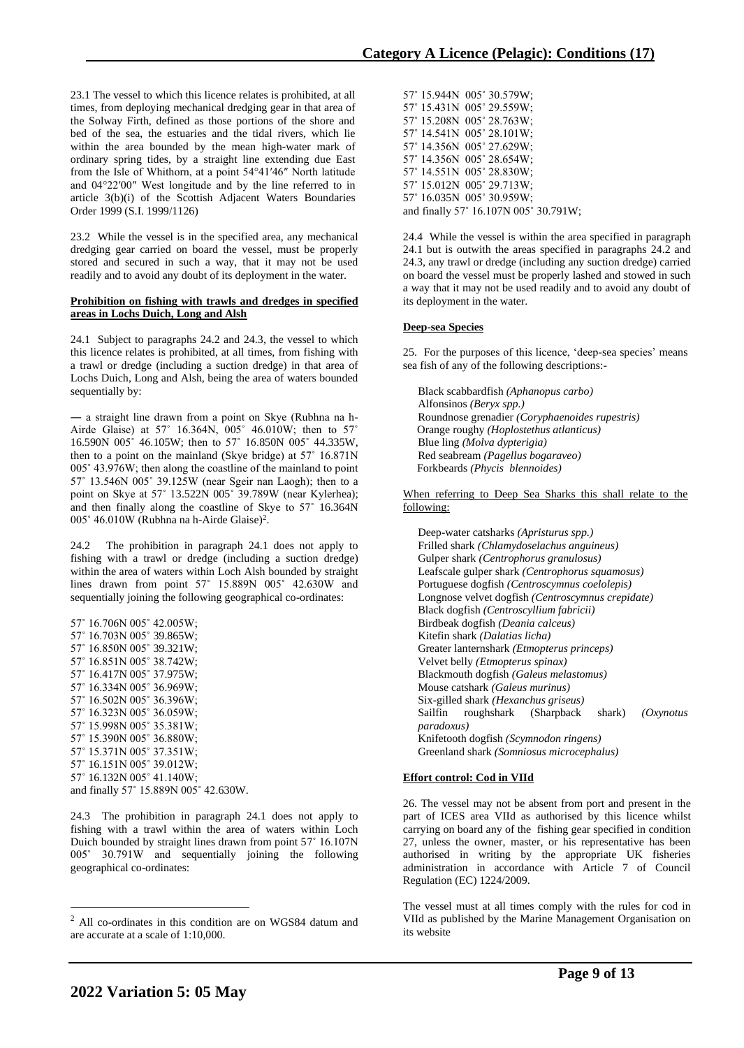23.1 The vessel to which this licence relates is prohibited, at all times, from deploying mechanical dredging gear in that area of the Solway Firth, defined as those portions of the shore and bed of the sea, the estuaries and the tidal rivers, which lie within the area bounded by the mean high-water mark of ordinary spring tides, by a straight line extending due East from the Isle of Whithorn, at a point 54°41′46″ North latitude and 04°22′00″ West longitude and by the line referred to in article 3(b)(i) of the Scottish Adjacent Waters Boundaries Order 1999 (S.I. 1999/1126)

23.2 While the vessel is in the specified area, any mechanical dredging gear carried on board the vessel, must be properly stored and secured in such a way, that it may not be used readily and to avoid any doubt of its deployment in the water.

#### **Prohibition on fishing with trawls and dredges in specified areas in Lochs Duich, Long and Alsh**

24.1 Subject to paragraphs 24.2 and 24.3, the vessel to which this licence relates is prohibited, at all times, from fishing with a trawl or dredge (including a suction dredge) in that area of Lochs Duich, Long and Alsh, being the area of waters bounded sequentially by:

― a straight line drawn from a point on Skye (Rubhna na h-Airde Glaise) at 57˚ 16.364N, 005˚ 46.010W; then to 57˚ 16.590N 005˚ 46.105W; then to 57˚ 16.850N 005˚ 44.335W, then to a point on the mainland (Skye bridge) at 57˚ 16.871N 005˚ 43.976W; then along the coastline of the mainland to point 57˚ 13.546N 005˚ 39.125W (near Sgeir nan Laogh); then to a point on Skye at 57˚ 13.522N 005˚ 39.789W (near Kylerhea); and then finally along the coastline of Skye to 57˚ 16.364N 005° 46.010W (Rubhna na h-Airde Glaise)<sup>2</sup>.

24.2 The prohibition in paragraph 24.1 does not apply to fishing with a trawl or dredge (including a suction dredge) within the area of waters within Loch Alsh bounded by straight lines drawn from point 57˚ 15.889N 005˚ 42.630W and sequentially joining the following geographical co-ordinates:

57˚ 16.706N 005˚ 42.005W; 57˚ 16.703N 005˚ 39.865W; 57˚ 16.850N 005˚ 39.321W; 57˚ 16.851N 005˚ 38.742W; 57˚ 16.417N 005˚ 37.975W; 57˚ 16.334N 005˚ 36.969W; 57˚ 16.502N 005˚ 36.396W; 57˚ 16.323N 005˚ 36.059W; 57˚ 15.998N 005˚ 35.381W; 57˚ 15.390N 005˚ 36.880W; 57˚ 15.371N 005˚ 37.351W; 57˚ 16.151N 005˚ 39.012W; 57˚ 16.132N 005˚ 41.140W; and finally 57˚ 15.889N 005˚ 42.630W.

24.3 The prohibition in paragraph 24.1 does not apply to fishing with a trawl within the area of waters within Loch Duich bounded by straight lines drawn from point 57˚ 16.107N 005˚ 30.791W and sequentially joining the following geographical co-ordinates:

57˚ 15.944N 005˚ 30.579W; 57˚ 15.431N 005˚ 29.559W; 57˚ 15.208N 005˚ 28.763W; 57˚ 14.541N 005˚ 28.101W; 57˚ 14.356N 005˚ 27.629W; 57˚ 14.356N 005˚ 28.654W; 57˚ 14.551N 005˚ 28.830W; 57˚ 15.012N 005˚ 29.713W; 57˚ 16.035N 005˚ 30.959W; and finally 57˚ 16.107N 005˚ 30.791W;

24.4 While the vessel is within the area specified in paragraph 24.1 but is outwith the areas specified in paragraphs 24.2 and 24.3, any trawl or dredge (including any suction dredge) carried on board the vessel must be properly lashed and stowed in such a way that it may not be used readily and to avoid any doubt of its deployment in the water.

# **Deep-sea Species**

25. For the purposes of this licence, 'deep-sea species' means sea fish of any of the following descriptions:-

Black scabbardfish *(Aphanopus carbo)* Alfonsinos *(Beryx spp.)* Roundnose grenadier *(Coryphaenoides rupestris)* Orange roughy *(Hoplostethus atlanticus)* Blue ling *(Molva dypterigia)* Red seabream *(Pagellus bogaraveo)* Forkbeards *(Phycis blennoides)*

When referring to Deep Sea Sharks this shall relate to the following:

Deep-water catsharks *(Apristurus spp.)* Frilled shark *(Chlamydoselachus anguineus)* Gulper shark *(Centrophorus granulosus)* Leafscale gulper shark *(Centrophorus squamosus)* Portuguese dogfish *(Centroscymnus coelolepis)* Longnose velvet dogfish *(Centroscymnus crepidate)* Black dogfish *(Centroscyllium fabricii)* Birdbeak dogfish *(Deania calceus)* Kitefin shark *(Dalatias licha)* Greater lanternshark *(Etmopterus princeps)* Velvet belly *(Etmopterus spinax)* Blackmouth dogfish *(Galeus melastomus)* Mouse catshark *(Galeus murinus)* Six-gilled shark *(Hexanchus griseus)* Sailfin roughshark (Sharpback shark) *(Oxynotus paradoxus)* Knifetooth dogfish *(Scymnodon ringens)* Greenland shark *(Somniosus microcephalus)*

## **Effort control: Cod in VIId**

26. The vessel may not be absent from port and present in the part of ICES area VIId as authorised by this licence whilst carrying on board any of the fishing gear specified in condition 27, unless the owner, master, or his representative has been authorised in writing by the appropriate UK fisheries administration in accordance with Article 7 of Council Regulation (EC) 1224/2009.

The vessel must at all times comply with the rules for cod in VIId as published by the Marine Management Organisation on its website

<sup>2</sup> All co-ordinates in this condition are on WGS84 datum and are accurate at a scale of 1:10,000.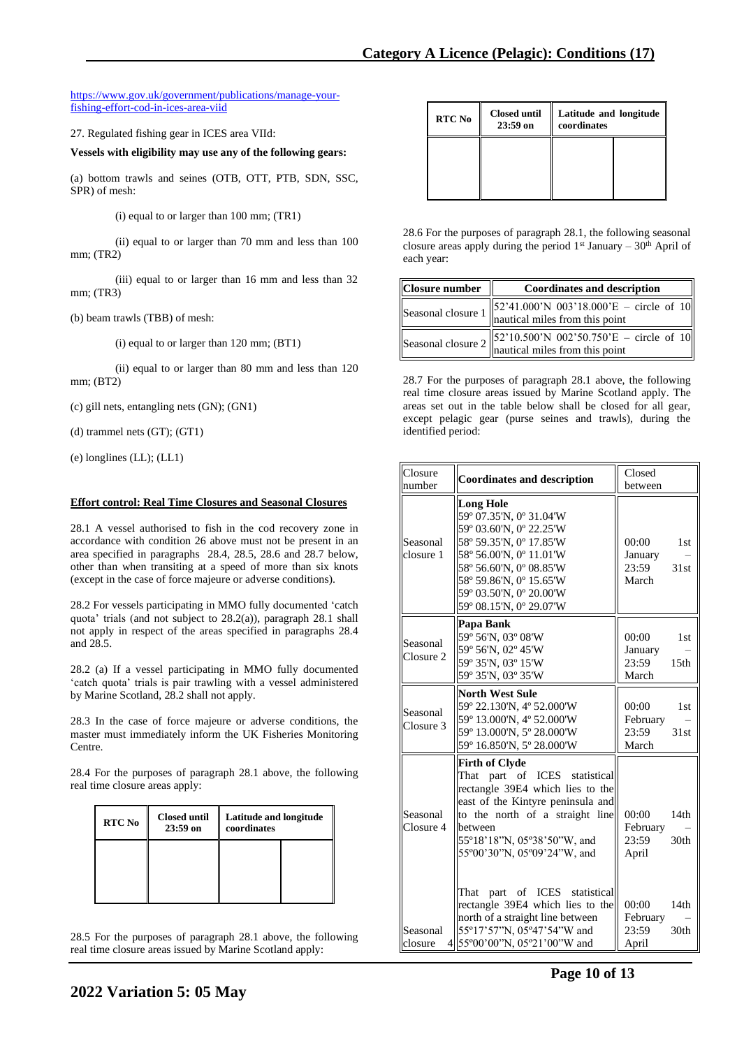### [https://www.gov.uk/government/publications/manage-your](https://www.gov.uk/government/publications/manage-your-fishing-effort-cod-in-ices-area-viid)[fishing-effort-cod-in-ices-area-viid](https://www.gov.uk/government/publications/manage-your-fishing-effort-cod-in-ices-area-viid)

27. Regulated fishing gear in ICES area VIId:

**Vessels with eligibility may use any of the following gears:**

(a) bottom trawls and seines (OTB, OTT, PTB, SDN, SSC, SPR) of mesh:

(i) equal to or larger than 100 mm; (TR1)

(ii) equal to or larger than 70 mm and less than 100 mm; (TR2)

(iii) equal to or larger than 16 mm and less than 32 mm; (TR3)

(b) beam trawls (TBB) of mesh:

(i) equal to or larger than 120 mm; (BT1)

(ii) equal to or larger than 80 mm and less than 120 mm; (BT2)

(c) gill nets, entangling nets (GN); (GN1)

(d) trammel nets (GT); (GT1)

(e) longlines (LL); (LL1)

## **Effort control: Real Time Closures and Seasonal Closures**

28.1 A vessel authorised to fish in the cod recovery zone in accordance with condition 26 above must not be present in an area specified in paragraphs 28.4, 28.5, 28.6 and 28.7 below, other than when transiting at a speed of more than six knots (except in the case of force majeure or adverse conditions).

28.2 For vessels participating in MMO fully documented 'catch quota' trials (and not subject to 28.2(a)), paragraph 28.1 shall not apply in respect of the areas specified in paragraphs 28.4 and 28.5.

28.2 (a) If a vessel participating in MMO fully documented 'catch quota' trials is pair trawling with a vessel administered by Marine Scotland, 28.2 shall not apply.

28.3 In the case of force majeure or adverse conditions, the master must immediately inform the UK Fisheries Monitoring Centre.

28.4 For the purposes of paragraph 28.1 above, the following real time closure areas apply:

| <b>RTC No</b> | <b>Closed until</b><br>$23:59$ on | <b>Latitude and longitude</b><br>coordinates |  |
|---------------|-----------------------------------|----------------------------------------------|--|
|               |                                   |                                              |  |

28.5 For the purposes of paragraph 28.1 above, the following real time closure areas issued by Marine Scotland apply:

| RTC No | <b>Closed until</b><br>23:59 on | Latitude and longitude<br>coordinates |  |
|--------|---------------------------------|---------------------------------------|--|
|        |                                 |                                       |  |
|        |                                 |                                       |  |

28.6 For the purposes of paragraph 28.1, the following seasonal closure areas apply during the period  $1<sup>st</sup>$  January –  $30<sup>th</sup>$  April of each year:

| Closure number | <b>Coordinates and description</b>                                                                                                                                                  |  |  |
|----------------|-------------------------------------------------------------------------------------------------------------------------------------------------------------------------------------|--|--|
|                | $\left\ 52\text{'}41.000\text{'}N\right\ 003\text{'}18.000\text{'}E - \text{circle of }10\right\ $<br>Seasonal closure $1 \parallel 2 \parallel 1.1$ matriced miles from this point |  |  |
|                | $\left\ 52'10.500'N\right\ 002'50.750'E - circle\right.$ of 10<br>Seasonal closure $2 \parallel \frac{2}{2}$ is a set of the point                                                  |  |  |

28.7 For the purposes of paragraph 28.1 above, the following real time closure areas issued by Marine Scotland apply. The areas set out in the table below shall be closed for all gear, except pelagic gear (purse seines and trawls), during the identified period:

| Closure<br>number     | <b>Coordinates and description</b>                                                                                                                                                                                                       | Closed<br>between                                                         |
|-----------------------|------------------------------------------------------------------------------------------------------------------------------------------------------------------------------------------------------------------------------------------|---------------------------------------------------------------------------|
| Seasonal<br>closure 1 | <b>Long Hole</b><br>59° 07.35'N, 0° 31.04'W<br>59° 03.60'N, 0° 22.25'W<br>58° 59.35'N, 0° 17.85'W<br>58° 56.00'N, 0° 11.01'W<br>58° 56.60'N, 0° 08.85'W<br>58° 59.86'N, 0° 15.65'W<br>59° 03.50'N, 0° 20.00'W<br>59° 08.15'N, 0° 29.07'W | 00:00<br>1st<br>January<br>23:59<br>31st<br>March                         |
| Seasonal<br>Closure 2 | Papa Bank<br>59° 56'N, 03° 08'W<br>59° 56'N, 02° 45'W<br>59° 35'N, 03° 15'W<br>59° 35'N, 03° 35'W                                                                                                                                        | 00:00<br>1 <sub>st</sub><br>January<br>23:59<br>15 <sub>th</sub><br>March |
| Seasonal<br>Closure 3 | <b>North West Sule</b><br>59° 22.130'N, 4° 52.000'W<br>59° 13.000'N, 4° 52.000'W<br>59° 13.000'N, 5° 28.000'W<br>59° 16.850'N, 5° 28.000'W                                                                                               | 00:00<br>1st<br>February<br>23:59<br>31st<br>March                        |
| Seasonal<br>Closure 4 | Firth of Clyde<br>part of ICES statistical<br>That<br>rectangle 39E4 which lies to the<br>east of the Kintyre peninsula and<br>to the north of a straight line<br>between<br>55°18'18"N, 05°38'50"W, and<br>55°00'30"N, 05°09'24"W, and  | 00:00<br>14th<br>February<br>30 <sub>th</sub><br>23:59<br>April           |
| Seasonal<br>closure   | That<br>part of ICES statistical<br>rectangle 39E4 which lies to the<br>north of a straight line between<br>55°17'57"N, 05°47'54"W and<br>4 55°00'00"N, 05°21'00"W and                                                                   | 00:00<br>14th<br>February<br>30 <sub>th</sub><br>23:59<br>April           |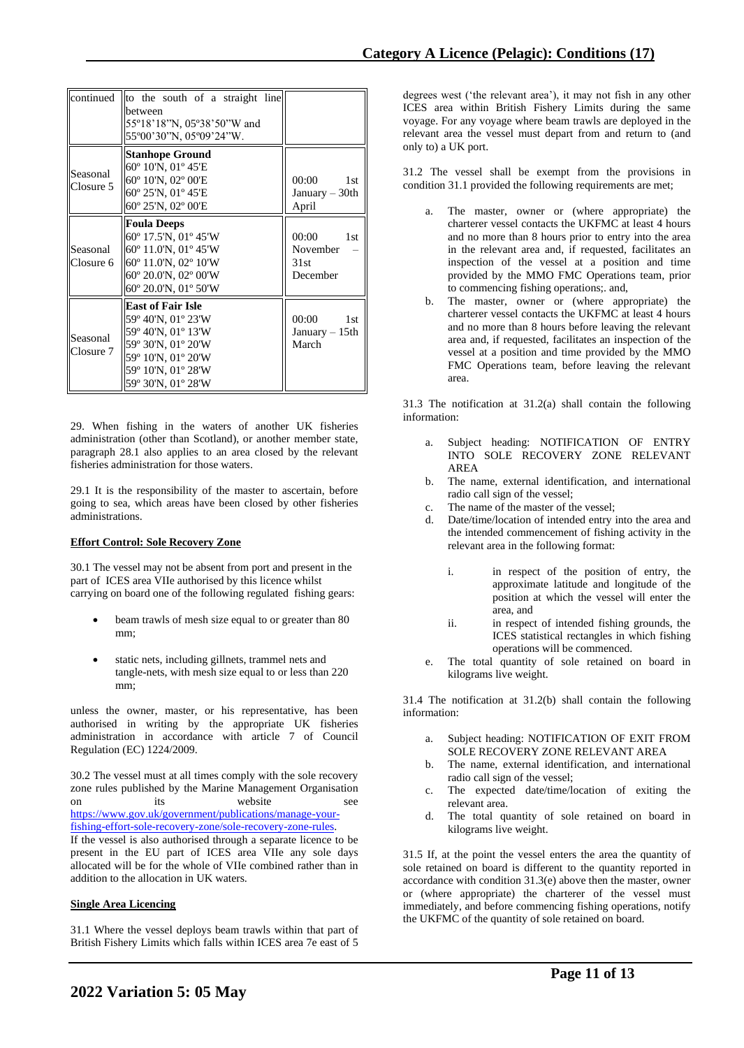|                       | continued to the south of a straight line<br>between<br>55°18'18"N, 05°38'50"W and<br>55°00'30"N, 05°09'24"W.                                                 |                                                       |
|-----------------------|---------------------------------------------------------------------------------------------------------------------------------------------------------------|-------------------------------------------------------|
| Seasonal<br>Closure 5 | <b>Stanhope Ground</b><br>$60^{\circ}$ 10'N, 01 $^{\circ}$ 45'E<br>60° 10'N, 02° 00'E<br>60° 25'N, 01° 45'E<br>60° 25'N, 02° 00'E                             | 00:00<br>1st<br>January – 30th<br>April               |
| Seasonal<br>Closure 6 | <b>Foula Deeps</b><br>60° 17.5'N, 01° 45'W<br>$60^{\circ}$ 11.0'N, 01 $^{\circ}$ 45'W<br>60° 11.0'N, 02° 10'W<br>60° 20.0'N, 02° 00'W<br>60° 20.0'N, 01° 50'W | 00:00<br>1st<br>November<br>31st<br>December          |
| Seasonal<br>Closure 7 | <b>East of Fair Isle</b><br>59° 40'N, 01° 23'W<br>59° 40'N, 01° 13'W<br>59° 30'N, 01° 20'W<br>59° 10'N, 01° 20'W<br>59° 10'N, 01° 28'W<br>59° 30'N, 01° 28'W  | 00:00<br>1 <sub>st</sub><br>January $-15$ th<br>March |

29. When fishing in the waters of another UK fisheries administration (other than Scotland), or another member state, paragraph 28.1 also applies to an area closed by the relevant fisheries administration for those waters.

29.1 It is the responsibility of the master to ascertain, before going to sea, which areas have been closed by other fisheries administrations.

### **Effort Control: Sole Recovery Zone**

30.1 The vessel may not be absent from port and present in the part of ICES area VIIe authorised by this licence whilst carrying on board one of the following regulated fishing gears:

- beam trawls of mesh size equal to or greater than 80 mm;
- static nets, including gillnets, trammel nets and tangle-nets, with mesh size equal to or less than 220 mm;

unless the owner, master, or his representative, has been authorised in writing by the appropriate UK fisheries administration in accordance with article 7 of Council Regulation (EC) 1224/2009.

30.2 The vessel must at all times comply with the sole recovery zone rules published by the Marine Management Organisation on its website see [https://www.gov.uk/government/publications/manage-your-](https://www.gov.uk/government/publications/manage-your-fishing-effort-sole-recovery-zone/sole-recovery-zone-rules)

[fishing-effort-sole-recovery-zone/sole-recovery-zone-rules.](https://www.gov.uk/government/publications/manage-your-fishing-effort-sole-recovery-zone/sole-recovery-zone-rules)

If the vessel is also authorised through a separate licence to be present in the EU part of ICES area VIIe any sole days allocated will be for the whole of VIIe combined rather than in addition to the allocation in UK waters.

### **Single Area Licencing**

31.1 Where the vessel deploys beam trawls within that part of British Fishery Limits which falls within ICES area 7e east of 5

degrees west ('the relevant area'), it may not fish in any other ICES area within British Fishery Limits during the same voyage. For any voyage where beam trawls are deployed in the relevant area the vessel must depart from and return to (and only to) a UK port.

31.2 The vessel shall be exempt from the provisions in condition 31.1 provided the following requirements are met;

- a. The master, owner or (where appropriate) the charterer vessel contacts the UKFMC at least 4 hours and no more than 8 hours prior to entry into the area in the relevant area and, if requested, facilitates an inspection of the vessel at a position and time provided by the MMO FMC Operations team, prior to commencing fishing operations;. and,
- b. The master, owner or (where appropriate) the charterer vessel contacts the UKFMC at least 4 hours and no more than 8 hours before leaving the relevant area and, if requested, facilitates an inspection of the vessel at a position and time provided by the MMO FMC Operations team, before leaving the relevant area.

31.3 The notification at 31.2(a) shall contain the following information:

- Subject heading: NOTIFICATION OF ENTRY INTO SOLE RECOVERY ZONE RELEVANT AREA
- b. The name, external identification, and international radio call sign of the vessel;
- c. The name of the master of the vessel;
- d. Date/time/location of intended entry into the area and the intended commencement of fishing activity in the relevant area in the following format:
	- i. in respect of the position of entry, the approximate latitude and longitude of the position at which the vessel will enter the area, and
	- ii. in respect of intended fishing grounds, the ICES statistical rectangles in which fishing operations will be commenced.
- e. The total quantity of sole retained on board in kilograms live weight.

31.4 The notification at 31.2(b) shall contain the following information:

- a. Subject heading: NOTIFICATION OF EXIT FROM SOLE RECOVERY ZONE RELEVANT AREA
- b. The name, external identification, and international radio call sign of the vessel;
- c. The expected date/time/location of exiting the relevant area.
- d. The total quantity of sole retained on board in kilograms live weight.

31.5 If, at the point the vessel enters the area the quantity of sole retained on board is different to the quantity reported in accordance with condition 31.3(e) above then the master, owner or (where appropriate) the charterer of the vessel must immediately, and before commencing fishing operations, notify the UKFMC of the quantity of sole retained on board.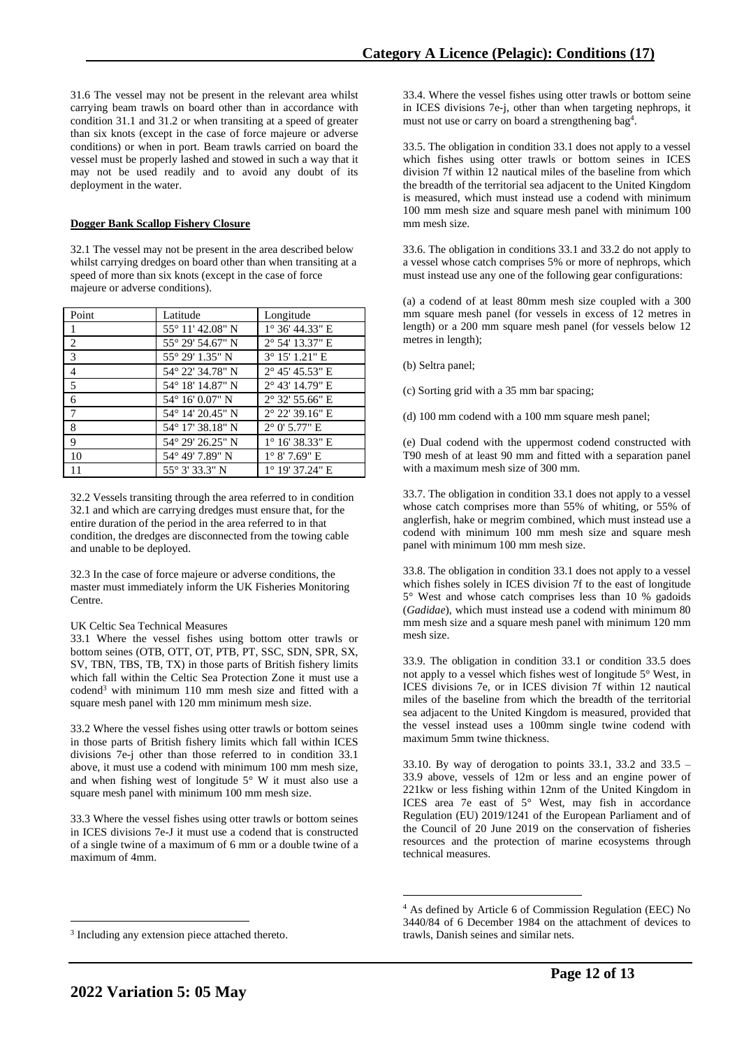31.6 The vessel may not be present in the relevant area whilst carrying beam trawls on board other than in accordance with condition 31.1 and 31.2 or when transiting at a speed of greater than six knots (except in the case of force majeure or adverse conditions) or when in port. Beam trawls carried on board the vessel must be properly lashed and stowed in such a way that it may not be used readily and to avoid any doubt of its deployment in the water.

## **Dogger Bank Scallop Fishery Closure**

32.1 The vessel may not be present in the area described below whilst carrying dredges on board other than when transiting at a speed of more than six knots (except in the case of force majeure or adverse conditions).

| Point | Latitude                 | Longitude                |
|-------|--------------------------|--------------------------|
| 1     | 55° 11′ 42.08″ N         | $1^{\circ}$ 36' 44.33" E |
| 2     | 55° 29′ 54.67″ N         | 2° 54' 13.37" E          |
| 3     | 55° 29′ 1.35″ N          | $3^{\circ}$ 15' 1.21" E  |
| 4     | 54° 22′ 34.78″ N         | $2^{\circ}$ 45' 45.53" E |
| 5     | 54° 18′ 14.87" N         | $2^{\circ}$ 43' 14.79" E |
| 6     | $54^{\circ}$ 16' 0.07" N | $2^{\circ}$ 32' 55.66" E |
| 7     | 54° 14′ 20.45″ N         | $2^{\circ}$ 22' 39.16" E |
| 8     | 54° 17' 38.18" N         | $2^{\circ}$ 0' 5.77" E   |
| 9     | 54° 29′ 26.25" N         | $1^{\circ}$ 16' 38.33" E |
| 10    | 54° 49' 7.89" N          | $1^{\circ}$ 8' 7.69" E   |
| 11    | 55° 3′ 33.3″ N           | $1^{\circ}$ 19' 37.24" E |

32.2 Vessels transiting through the area referred to in condition 32.1 and which are carrying dredges must ensure that, for the entire duration of the period in the area referred to in that condition, the dredges are disconnected from the towing cable and unable to be deployed.

32.3 In the case of force majeure or adverse conditions, the master must immediately inform the UK Fisheries Monitoring Centre.

### UK Celtic Sea Technical Measures

33.1 Where the vessel fishes using bottom otter trawls or bottom seines (OTB, OTT, OT, PTB, PT, SSC, SDN, SPR, SX, SV, TBN, TBS, TB, TX) in those parts of British fishery limits which fall within the Celtic Sea Protection Zone it must use a codend<sup>3</sup> with minimum 110 mm mesh size and fitted with a square mesh panel with 120 mm minimum mesh size.

33.2 Where the vessel fishes using otter trawls or bottom seines in those parts of British fishery limits which fall within ICES divisions 7e-j other than those referred to in condition 33.1 above, it must use a codend with minimum 100 mm mesh size, and when fishing west of longitude 5° W it must also use a square mesh panel with minimum 100 mm mesh size.

33.3 Where the vessel fishes using otter trawls or bottom seines in ICES divisions 7e-J it must use a codend that is constructed of a single twine of a maximum of 6 mm or a double twine of a maximum of 4mm.

33.4. Where the vessel fishes using otter trawls or bottom seine in ICES divisions 7e-j, other than when targeting nephrops, it must not use or carry on board a strengthening bag<sup>4</sup>.

33.5. The obligation in condition 33.1 does not apply to a vessel which fishes using otter trawls or bottom seines in ICES division 7f within 12 nautical miles of the baseline from which the breadth of the territorial sea adjacent to the United Kingdom is measured, which must instead use a codend with minimum 100 mm mesh size and square mesh panel with minimum 100 mm mesh size.

33.6. The obligation in conditions 33.1 and 33.2 do not apply to a vessel whose catch comprises 5% or more of nephrops, which must instead use any one of the following gear configurations:

(a) a codend of at least 80mm mesh size coupled with a 300 mm square mesh panel (for vessels in excess of 12 metres in length) or a 200 mm square mesh panel (for vessels below 12 metres in length);

(b) Seltra panel;

(c) Sorting grid with a 35 mm bar spacing;

(d) 100 mm codend with a 100 mm square mesh panel;

(e) Dual codend with the uppermost codend constructed with T90 mesh of at least 90 mm and fitted with a separation panel with a maximum mesh size of 300 mm.

33.7. The obligation in condition 33.1 does not apply to a vessel whose catch comprises more than 55% of whiting, or 55% of anglerfish, hake or megrim combined, which must instead use a codend with minimum 100 mm mesh size and square mesh panel with minimum 100 mm mesh size.

33.8. The obligation in condition 33.1 does not apply to a vessel which fishes solely in ICES division 7f to the east of longitude 5° West and whose catch comprises less than 10 % gadoids (*Gadidae*), which must instead use a codend with minimum 80 mm mesh size and a square mesh panel with minimum 120 mm mesh size.

33.9. The obligation in condition 33.1 or condition 33.5 does not apply to a vessel which fishes west of longitude 5° West, in ICES divisions 7e, or in ICES division 7f within 12 nautical miles of the baseline from which the breadth of the territorial sea adjacent to the United Kingdom is measured, provided that the vessel instead uses a 100mm single twine codend with maximum 5mm twine thickness.

33.10. By way of derogation to points 33.1, 33.2 and 33.5 – 33.9 above, vessels of 12m or less and an engine power of 221kw or less fishing within 12nm of the United Kingdom in ICES area 7e east of 5° West, may fish in accordance Regulation (EU) 2019/1241 of the European Parliament and of the Council of 20 June 2019 on the conservation of fisheries resources and the protection of marine ecosystems through technical measures.

<sup>&</sup>lt;sup>3</sup> Including any extension piece attached thereto.

<sup>4</sup> As defined by Article 6 of Commission Regulation (EEC) No 3440/84 of 6 December 1984 on the attachment of devices to trawls, Danish seines and similar nets.